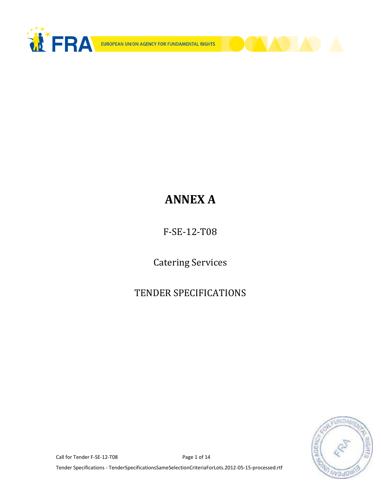



# **ANNEX A**

F-SE-12-T08

Catering Services

## TENDER SPECIFICATIONS



Call for Tender F-SE-12-T08 Page 1 of 14

Tender Specifications - TenderSpecificationsSameSelectionCriteriaForLots.2012-05-15-processed.rtf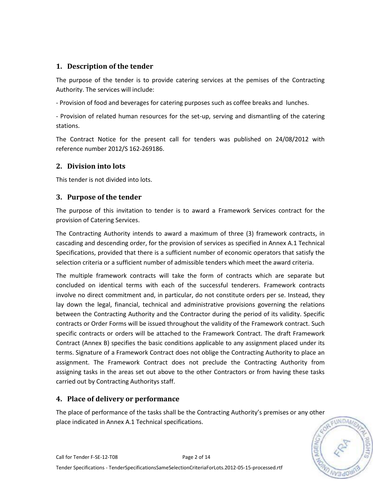## **1. Description of the tender**

The purpose of the tender is to provide catering services at the pemises of the Contracting Authority. The services will include:

- Provision of food and beverages for catering purposes such as coffee breaks and lunches.

- Provision of related human resources for the set-up, serving and dismantling of the catering stations.

The Contract Notice for the present call for tenders was published on 24/08/2012 with reference number 2012/S 162-269186.

## **2. Division into lots**

This tender is not divided into lots.

## **3. Purpose of the tender**

The purpose of this invitation to tender is to award a Framework Services contract for the provision of Catering Services.

The Contracting Authority intends to award a maximum of three (3) framework contracts, in cascading and descending order, for the provision of services as specified in Annex A.1 Technical Specifications, provided that there is a sufficient number of economic operators that satisfy the selection criteria or a sufficient number of admissible tenders which meet the award criteria.

The multiple framework contracts will take the form of contracts which are separate but concluded on identical terms with each of the successful tenderers. Framework contracts involve no direct commitment and, in particular, do not constitute orders per se. Instead, they lay down the legal, financial, technical and administrative provisions governing the relations between the Contracting Authority and the Contractor during the period of its validity. Specific contracts or Order Forms will be issued throughout the validity of the Framework contract. Such specific contracts or orders will be attached to the Framework Contract. The draft Framework Contract (Annex B) specifies the basic conditions applicable to any assignment placed under its terms. Signature of a Framework Contract does not oblige the Contracting Authority to place an assignment. The Framework Contract does not preclude the Contracting Authority from assigning tasks in the areas set out above to the other Contractors or from having these tasks carried out by Contracting Authoritys staff.

## **4. Place of delivery or performance**

The place of performance of the tasks shall be the Contracting Authority's premises or any other place indicated in Annex A.1 Technical specifications.

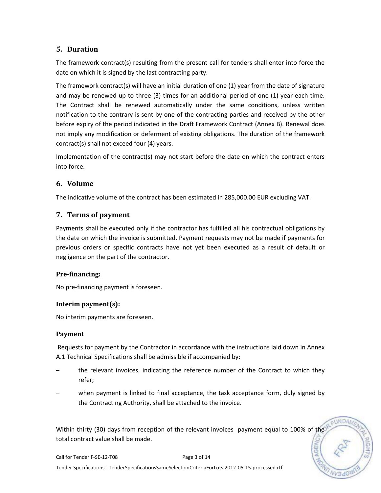## **5. Duration**

The framework contract(s) resulting from the present call for tenders shall enter into force the date on which it is signed by the last contracting party.

The framework contract(s) will have an initial duration of one (1) year from the date of signature and may be renewed up to three (3) times for an additional period of one (1) year each time. The Contract shall be renewed automatically under the same conditions, unless written notification to the contrary is sent by one of the contracting parties and received by the other before expiry of the period indicated in the Draft Framework Contract (Annex B). Renewal does not imply any modification or deferment of existing obligations. The duration of the framework contract(s) shall not exceed four (4) years.

Implementation of the contract(s) may not start before the date on which the contract enters into force.

## **6. Volume**

The indicative volume of the contract has been estimated in 285,000.00 EUR excluding VAT.

## **7. Terms of payment**

Payments shall be executed only if the contractor has fulfilled all his contractual obligations by the date on which the invoice is submitted. Payment requests may not be made if payments for previous orders or specific contracts have not yet been executed as a result of default or negligence on the part of the contractor.

## **Pre-financing:**

No pre-financing payment is foreseen.

## **Interim payment(s):**

No interim payments are foreseen.

#### **Payment**

Requests for payment by the Contractor in accordance with the instructions laid down in Annex A.1 Technical Specifications shall be admissible if accompanied by:

- the relevant invoices, indicating the reference number of the Contract to which they refer;
- when payment is linked to final acceptance, the task acceptance form, duly signed by the Contracting Authority, shall be attached to the invoice.

**UNDA** 

Within thirty (30) days from reception of the relevant invoices payment equal to 100% of the total contract value shall be made.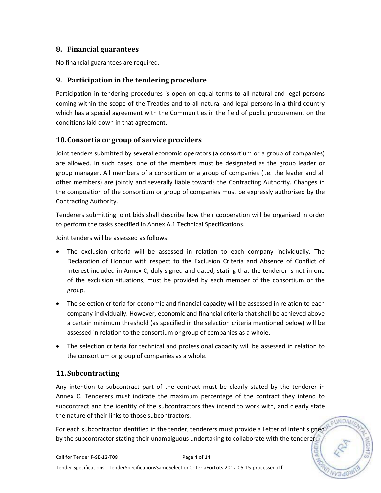## **8. Financial guarantees**

No financial guarantees are required.

## **9. Participation in the tendering procedure**

Participation in tendering procedures is open on equal terms to all natural and legal persons coming within the scope of the Treaties and to all natural and legal persons in a third country which has a special agreement with the Communities in the field of public procurement on the conditions laid down in that agreement.

### **10.Consortia or group of service providers**

Joint tenders submitted by several economic operators (a consortium or a group of companies) are allowed. In such cases, one of the members must be designated as the group leader or group manager. All members of a consortium or a group of companies (i.e. the leader and all other members) are jointly and severally liable towards the Contracting Authority. Changes in the composition of the consortium or group of companies must be expressly authorised by the Contracting Authority.

Tenderers submitting joint bids shall describe how their cooperation will be organised in order to perform the tasks specified in Annex A.1 Technical Specifications.

Joint tenders will be assessed as follows:

- The exclusion criteria will be assessed in relation to each company individually. The Declaration of Honour with respect to the Exclusion Criteria and Absence of Conflict of Interest included in Annex C, duly signed and dated, stating that the tenderer is not in one of the exclusion situations, must be provided by each member of the consortium or the group.
- The selection criteria for economic and financial capacity will be assessed in relation to each company individually. However, economic and financial criteria that shall be achieved above a certain minimum threshold (as specified in the selection criteria mentioned below) will be assessed in relation to the consortium or group of companies as a whole.
- The selection criteria for technical and professional capacity will be assessed in relation to the consortium or group of companies as a whole.

## **11.Subcontracting**

Any intention to subcontract part of the contract must be clearly stated by the tenderer in Annex C. Tenderers must indicate the maximum percentage of the contract they intend to subcontract and the identity of the subcontractors they intend to work with, and clearly state the nature of their links to those subcontractors.

**EUNDAM** 

For each subcontractor identified in the tender, tenderers must provide a Letter of Intent signed by the subcontractor stating their unambiguous undertaking to collaborate with the tenderer.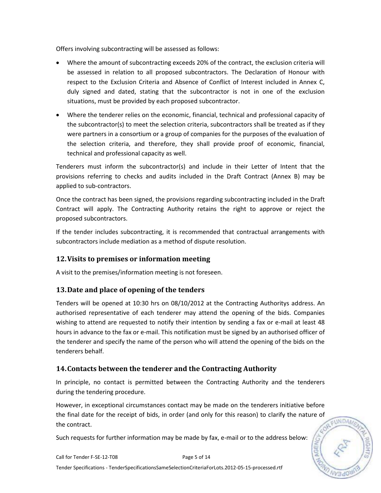Offers involving subcontracting will be assessed as follows:

- Where the amount of subcontracting exceeds 20% of the contract, the exclusion criteria will be assessed in relation to all proposed subcontractors. The Declaration of Honour with respect to the Exclusion Criteria and Absence of Conflict of Interest included in Annex C, duly signed and dated, stating that the subcontractor is not in one of the exclusion situations, must be provided by each proposed subcontractor.
- Where the tenderer relies on the economic, financial, technical and professional capacity of the subcontractor(s) to meet the selection criteria, subcontractors shall be treated as if they were partners in a consortium or a group of companies for the purposes of the evaluation of the selection criteria, and therefore, they shall provide proof of economic, financial, technical and professional capacity as well.

Tenderers must inform the subcontractor(s) and include in their Letter of Intent that the provisions referring to checks and audits included in the Draft Contract (Annex B) may be applied to sub-contractors.

Once the contract has been signed, the provisions regarding subcontracting included in the Draft Contract will apply. The Contracting Authority retains the right to approve or reject the proposed subcontractors.

If the tender includes subcontracting, it is recommended that contractual arrangements with subcontractors include mediation as a method of dispute resolution.

## **12.Visits to premises or information meeting**

A visit to the premises/information meeting is not foreseen.

## **13.Date and place of opening of the tenders**

Tenders will be opened at 10:30 hrs on 08/10/2012 at the Contracting Authoritys address. An authorised representative of each tenderer may attend the opening of the bids. Companies wishing to attend are requested to notify their intention by sending a fax or e-mail at least 48 hours in advance to the fax or e-mail. This notification must be signed by an authorised officer of the tenderer and specify the name of the person who will attend the opening of the bids on the tenderers behalf.

## **14.Contacts between the tenderer and the Contracting Authority**

In principle, no contact is permitted between the Contracting Authority and the tenderers during the tendering procedure.

However, in exceptional circumstances contact may be made on the tenderers initiative before the final date for the receipt of bids, in order (and only for this reason) to clarify the nature of the contract.

**FUNDAM** 

Such requests for further information may be made by fax, e-mail or to the address below: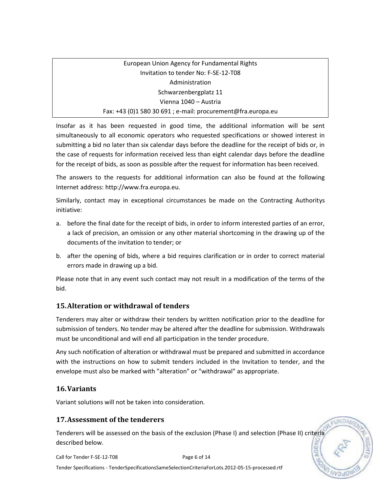## European Union Agency for Fundamental Rights Invitation to tender No: F-SE-12-T08 Administration Schwarzenbergplatz 11 Vienna 1040 – Austria Fax: +43 (0)1 580 30 691 ; e-mail: procurement@fra.europa.eu

Insofar as it has been requested in good time, the additional information will be sent simultaneously to all economic operators who requested specifications or showed interest in submitting a bid no later than six calendar days before the deadline for the receipt of bids or, in the case of requests for information received less than eight calendar days before the deadline for the receipt of bids, as soon as possible after the request for information has been received.

The answers to the requests for additional information can also be found at the following Internet address: http://www.fra.europa.eu.

Similarly, contact may in exceptional circumstances be made on the Contracting Authoritys initiative:

- a. before the final date for the receipt of bids, in order to inform interested parties of an error, a lack of precision, an omission or any other material shortcoming in the drawing up of the documents of the invitation to tender; or
- b. after the opening of bids, where a bid requires clarification or in order to correct material errors made in drawing up a bid.

Please note that in any event such contact may not result in a modification of the terms of the bid.

## **15.Alteration or withdrawal of tenders**

Tenderers may alter or withdraw their tenders by written notification prior to the deadline for submission of tenders. No tender may be altered after the deadline for submission. Withdrawals must be unconditional and will end all participation in the tender procedure.

Any such notification of alteration or withdrawal must be prepared and submitted in accordance with the instructions on how to submit tenders included in the Invitation to tender, and the envelope must also be marked with "alteration" or "withdrawal" as appropriate.

## **16.Variants**

Variant solutions will not be taken into consideration.

## **17.Assessment of the tenderers**

Tenderers will be assessed on the basis of the exclusion (Phase I) and selection (Phase II) criteria described below.

Call for Tender F-SE-12-T08 Page 6 of 14

**UNDA** 

Tender Specifications - TenderSpecificationsSameSelectionCriteriaForLots.2012-05-15-processed.rtf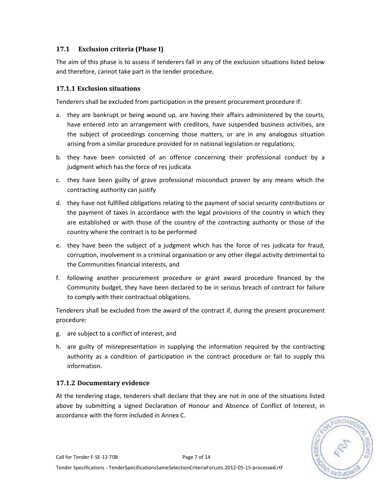### **17.1 Exclusion criteria (Phase I)**

The aim of this phase is to assess if tenderers fall in any of the exclusion situations listed below and therefore, cannot take part in the tender procedure.

#### **17.1.1 Exclusion situations**

Tenderers shall be excluded from participation in the present procurement procedure if:

- a. they are bankrupt or being wound up, are having their affairs administered by the courts, have entered into an arrangement with creditors, have suspended business activities, are the subject of proceedings concerning those matters, or are in any analogous situation arising from a similar procedure provided for in national legislation or regulations;
- b. they have been convicted of an offence concerning their professional conduct by a judgment which has the force of res judicata
- c. they have been guilty of grave professional misconduct proven by any means which the contracting authority can justify
- d. they have not fulfilled obligations relating to the payment of social security contributions or the payment of taxes in accordance with the legal provisions of the country in which they are established or with those of the country of the contracting authority or those of the country where the contract is to be performed
- e. they have been the subject of a judgment which has the force of res judicata for fraud, corruption, involvement in a criminal organisation or any other illegal activity detrimental to the Communities financial interests, and
- f. following another procurement procedure or grant award procedure financed by the Community budget, they have been declared to be in serious breach of contract for failure to comply with their contractual obligations.

Tenderers shall be excluded from the award of the contract if, during the present procurement procedure:

- g. are subject to a conflict of interest, and
- h. are guilty of misrepresentation in supplying the information required by the contracting authority as a condition of participation in the contract procedure or fail to supply this information.

#### **17.1.2 Documentary evidence**

At the tendering stage, tenderers shall declare that they are not in one of the situations listed above by submitting a signed Declaration of Honour and Absence of Conflict of Interest, in accordance with the form included in Annex C.

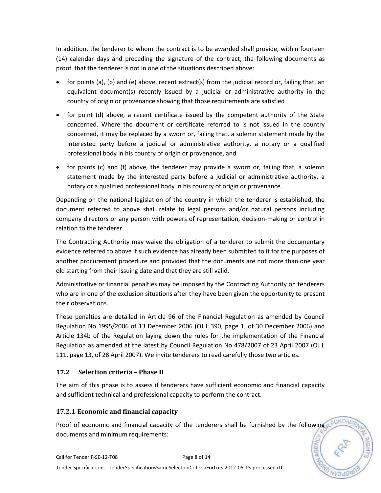In addition, the tenderer to whom the contract is to be awarded shall provide, within fourteen (14) calendar days and preceding the signature of the contract, the following documents as proof that the tenderer is not in one of the situations described above:

- for points (a), (b) and (e) above, recent extract(s) from the judicial record or, failing that, an equivalent document(s) recently issued by a judicial or administrative authority in the country of origin or provenance showing that those requirements are satisfied
- for point (d) above, a recent certificate issued by the competent authority of the State concerned. Where the document or certificate referred to is not issued in the country concerned, it may be replaced by a sworn or, failing that, a solemn statement made by the interested party before a judicial or administrative authority, a notary or a qualified professional body in his country of origin or provenance, and
- for points (c) and (f) above, the tenderer may provide a sworn or, failing that, a solemn statement made by the interested party before a judicial or administrative authority, a notary or a qualified professional body in his country of origin or provenance.

Depending on the national legislation of the country in which the tenderer is established, the document referred to above shall relate to legal persons and/or natural persons including company directors or any person with powers of representation, decision-making or control in relation to the tenderer.

The Contracting Authority may waive the obligation of a tenderer to submit the documentary evidence referred to above if such evidence has already been submitted to it for the purposes of another procurement procedure and provided that the documents are not more than one year old starting from their issuing date and that they are still valid.

Administrative or financial penalties may be imposed by the Contracting Authority on tenderers who are in one of the exclusion situations after they have been given the opportunity to present their observations.

These penalties are detailed in Article 96 of the Financial Regulation as amended by Council Regulation No 1995/2006 of 13 December 2006 (OJ L 390, page 1, of 30 December 2006) and Article 134b of the Regulation laying down the rules for the implementation of the Financial Regulation as amended at the latest by Council Regulation No 478/2007 of 23 April 2007 (OJ L 111, page 13, of 28 April 2007). We invite tenderers to read carefully those two articles.

## **17.2 Selection criteria – Phase II**

The aim of this phase is to assess if tenderers have sufficient economic and financial capacity and sufficient technical and professional capacity to perform the contract.

## **17.2.1 Economic and financial capacity**

Proof of economic and financial capacity of the tenderers shall be furnished by the following documents and minimum requirements: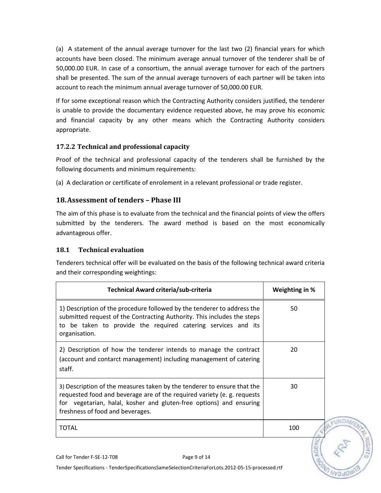(a) A statement of the annual average turnover for the last two (2) financial years for which accounts have been closed. The minimum average annual turnover of the tenderer shall be of 50,000.00 EUR. In case of a consortium, the annual average turnover for each of the partners shall be presented. The sum of the annual average turnovers of each partner will be taken into account to reach the minimum annual average turnover of 50,000.00 EUR.

If for some exceptional reason which the Contracting Authority considers justified, the tenderer is unable to provide the documentary evidence requested above, he may prove his economic and financial capacity by any other means which the Contracting Authority considers appropriate.

## **17.2.2 Technical and professional capacity**

Proof of the technical and professional capacity of the tenderers shall be furnished by the following documents and minimum requirements:

(a) A declaration or certificate of enrolement in a relevant professional or trade register.

## **18.Assessment of tenders – Phase III**

The aim of this phase is to evaluate from the technical and the financial points of view the offers submitted by the tenderers. The award method is based on the most economically advantageous offer.

## **18.1 Technical evaluation**

Tenderers technical offer will be evaluated on the basis of the following technical award criteria and their corresponding weightings:

| Technical Award criteria/sub-criteria                                                                                                                                                                                                                         | Weighting in % |
|---------------------------------------------------------------------------------------------------------------------------------------------------------------------------------------------------------------------------------------------------------------|----------------|
| 1) Description of the procedure followed by the tenderer to address the<br>submitted request of the Contracting Authority. This includes the steps<br>to be taken to provide the required catering services and its<br>organisation.                          | 50             |
| 2) Description of how the tenderer intends to manage the contract<br>(account and contarct management) including management of catering<br>staff.                                                                                                             | 20             |
| 3) Description of the measures taken by the tenderer to ensure that the<br>requested food and beverage are of the required variety (e. g. requests<br>for vegetarian, halal, kosher and gluten-free options) and ensuring<br>freshness of food and beverages. | 30             |
| <b>TOTAL</b>                                                                                                                                                                                                                                                  | 100            |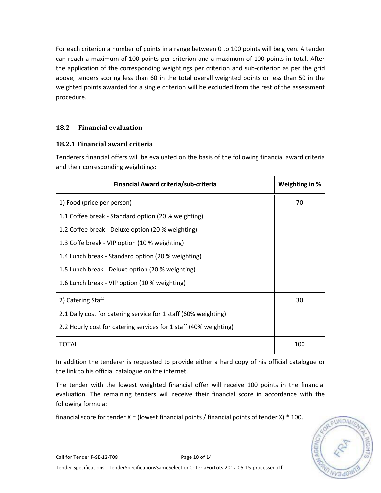For each criterion a number of points in a range between 0 to 100 points will be given. A tender can reach a maximum of 100 points per criterion and a maximum of 100 points in total. After the application of the corresponding weightings per criterion and sub-criterion as per the grid above, tenders scoring less than 60 in the total overall weighted points or less than 50 in the weighted points awarded for a single criterion will be excluded from the rest of the assessment procedure.

## **18.2 Financial evaluation**

#### **18.2.1 Financial award criteria**

Tenderers financial offers will be evaluated on the basis of the following financial award criteria and their corresponding weightings:

| Financial Award criteria/sub-criteria                             | Weighting in % |
|-------------------------------------------------------------------|----------------|
| 1) Food (price per person)                                        | 70             |
| 1.1 Coffee break - Standard option (20 % weighting)               |                |
| 1.2 Coffee break - Deluxe option (20 % weighting)                 |                |
| 1.3 Coffe break - VIP option (10 % weighting)                     |                |
| 1.4 Lunch break - Standard option (20 % weighting)                |                |
| 1.5 Lunch break - Deluxe option (20 % weighting)                  |                |
| 1.6 Lunch break - VIP option (10 % weighting)                     |                |
| 2) Catering Staff                                                 | 30             |
| 2.1 Daily cost for catering service for 1 staff (60% weighting)   |                |
| 2.2 Hourly cost for catering services for 1 staff (40% weighting) |                |
| TOTAL                                                             | 100            |

In addition the tenderer is requested to provide either a hard copy of his official catalogue or the link to his official catalogue on the internet.

The tender with the lowest weighted financial offer will receive 100 points in the financial evaluation. The remaining tenders will receive their financial score in accordance with the following formula:

financial score for tender  $X =$  (lowest financial points / financial points of tender  $X$ ) \* 100.

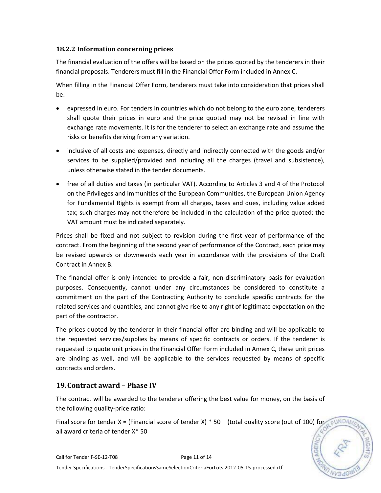#### **18.2.2 Information concerning prices**

The financial evaluation of the offers will be based on the prices quoted by the tenderers in their financial proposals. Tenderers must fill in the Financial Offer Form included in Annex C.

When filling in the Financial Offer Form, tenderers must take into consideration that prices shall be:

- expressed in euro. For tenders in countries which do not belong to the euro zone, tenderers shall quote their prices in euro and the price quoted may not be revised in line with exchange rate movements. It is for the tenderer to select an exchange rate and assume the risks or benefits deriving from any variation.
- inclusive of all costs and expenses, directly and indirectly connected with the goods and/or services to be supplied/provided and including all the charges (travel and subsistence), unless otherwise stated in the tender documents.
- free of all duties and taxes (in particular VAT). According to Articles 3 and 4 of the Protocol on the Privileges and Immunities of the European Communities, the European Union Agency for Fundamental Rights is exempt from all charges, taxes and dues, including value added tax; such charges may not therefore be included in the calculation of the price quoted; the VAT amount must be indicated separately.

Prices shall be fixed and not subject to revision during the first year of performance of the contract. From the beginning of the second year of performance of the Contract, each price may be revised upwards or downwards each year in accordance with the provisions of the Draft Contract in Annex B.

The financial offer is only intended to provide a fair, non-discriminatory basis for evaluation purposes. Consequently, cannot under any circumstances be considered to constitute a commitment on the part of the Contracting Authority to conclude specific contracts for the related services and quantities, and cannot give rise to any right of legitimate expectation on the part of the contractor.

The prices quoted by the tenderer in their financial offer are binding and will be applicable to the requested services/supplies by means of specific contracts or orders. If the tenderer is requested to quote unit prices in the Financial Offer Form included in Annex C, these unit prices are binding as well, and will be applicable to the services requested by means of specific contracts and orders.

## **19.Contract award – Phase IV**

The contract will be awarded to the tenderer offering the best value for money, on the basis of the following quality-price ratio:

Final score for tender X = (Financial score of tender X) \* 50 + (total quality score (out of 100) for  $\epsilon$ UNDAM all award criteria of tender X\* 50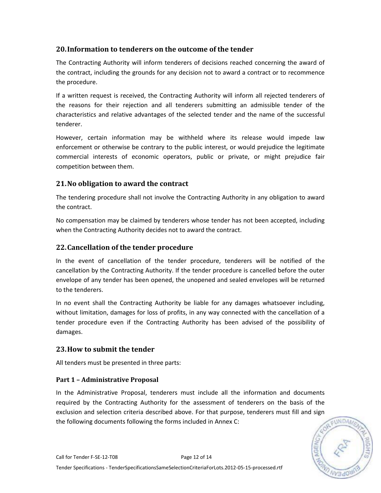## **20.Information to tenderers on the outcome of the tender**

The Contracting Authority will inform tenderers of decisions reached concerning the award of the contract, including the grounds for any decision not to award a contract or to recommence the procedure.

If a written request is received, the Contracting Authority will inform all rejected tenderers of the reasons for their rejection and all tenderers submitting an admissible tender of the characteristics and relative advantages of the selected tender and the name of the successful tenderer.

However, certain information may be withheld where its release would impede law enforcement or otherwise be contrary to the public interest, or would prejudice the legitimate commercial interests of economic operators, public or private, or might prejudice fair competition between them.

## **21.No obligation to award the contract**

The tendering procedure shall not involve the Contracting Authority in any obligation to award the contract.

No compensation may be claimed by tenderers whose tender has not been accepted, including when the Contracting Authority decides not to award the contract.

## **22.Cancellation of the tender procedure**

In the event of cancellation of the tender procedure, tenderers will be notified of the cancellation by the Contracting Authority. If the tender procedure is cancelled before the outer envelope of any tender has been opened, the unopened and sealed envelopes will be returned to the tenderers.

In no event shall the Contracting Authority be liable for any damages whatsoever including, without limitation, damages for loss of profits, in any way connected with the cancellation of a tender procedure even if the Contracting Authority has been advised of the possibility of damages.

## **23.How to submit the tender**

All tenders must be presented in three parts:

## **Part 1 – Administrative Proposal**

In the Administrative Proposal, tenderers must include all the information and documents required by the Contracting Authority for the assessment of tenderers on the basis of the exclusion and selection criteria described above. For that purpose, tenderers must fill and sign the following documents following the forms included in Annex C:

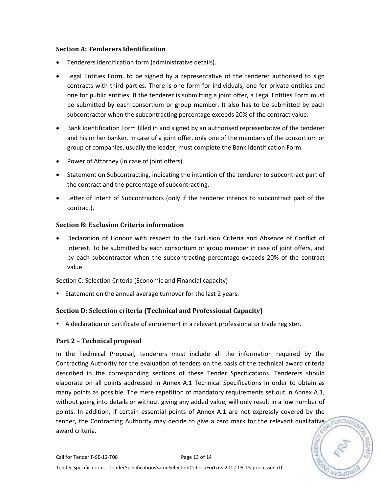#### **Section A: Tenderers Identification**

- Tenderers identification form (administrative details).
- Legal Entities Form, to be signed by a representative of the tenderer authorised to sign contracts with third parties. There is one form for individuals, one for private entities and one for public entities. If the tenderer is submitting a joint offer, a Legal Entities Form must be submitted by each consortium or group member. It also has to be submitted by each subcontractor when the subcontracting percentage exceeds 20% of the contract value.
- Bank Identification Form filled in and signed by an authorised representative of the tenderer and his or her banker. In case of a joint offer, only one of the members of the consortium or group of companies, usually the leader, must complete the Bank Identification Form.
- Power of Attorney (in case of joint offers).
- Statement on Subcontracting, indicating the intention of the tenderer to subcontract part of the contract and the percentage of subcontracting.
- Letter of Intent of Subcontractors (only if the tenderer intends to subcontract part of the contract).

#### **Section B: Exclusion Criteria information**

 Declaration of Honour with respect to the Exclusion Criteria and Absence of Conflict of Interest. To be submitted by each consortium or group member in case of joint offers, and by each subcontractor when the subcontracting percentage exceeds 20% of the contract value.

Section C: Selection Criteria (Economic and Financial capacity)

• Statement on the annual average turnover for the last 2 years.

#### **Section D: Selection criteria (Technical and Professional Capacity)**

A declaration or certificate of enrolement in a relevant professional or trade register.

#### **Part 2 – Technical proposal**

In the Technical Proposal, tenderers must include all the information required by the Contracting Authority for the evaluation of tenders on the basis of the technical award criteria described in the corresponding sections of these Tender Specifications. Tenderers should elaborate on all points addressed in Annex A.1 Technical Specifications in order to obtain as many points as possible. The mere repetition of mandatory requirements set out in Annex A.1, without going into details or without giving any added value, will only result in a low number of points. In addition, if certain essential points of Annex A.1 are not expressly covered by the tender, the Contracting Authority may decide to give a zero mark for the relevant qualitative award criteria.